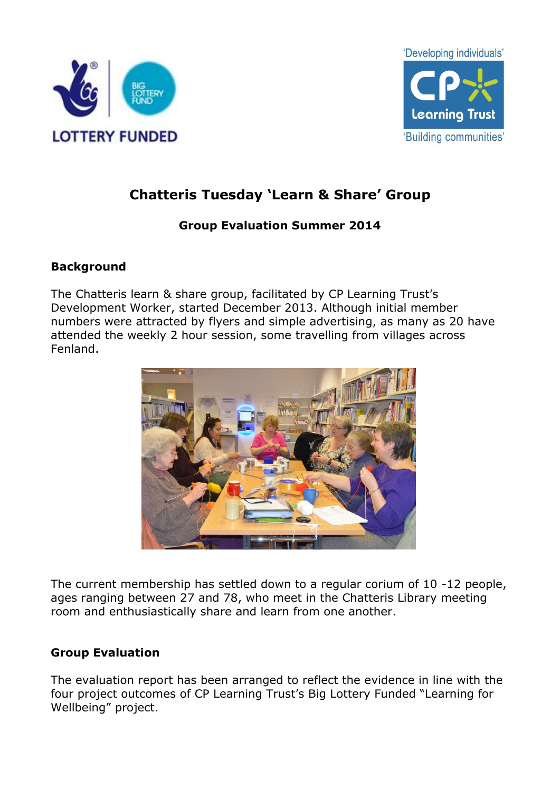



# **Chatteris Tuesday 'Learn & Share' Group**

# **Group Evaluation Summer 2014**

# **Background**

The Chatteris learn & share group, facilitated by CP Learning Trust's Development Worker, started December 2013. Although initial member numbers were attracted by flyers and simple advertising, as many as 20 have attended the weekly 2 hour session, some travelling from villages across Fenland.



The current membership has settled down to a regular corium of 10 -12 people, ages ranging between 27 and 78, who meet in the Chatteris Library meeting room and enthusiastically share and learn from one another.

## **Group Evaluation**

The evaluation report has been arranged to reflect the evidence in line with the four project outcomes of CP Learning Trust's Big Lottery Funded "Learning for Wellbeing" project.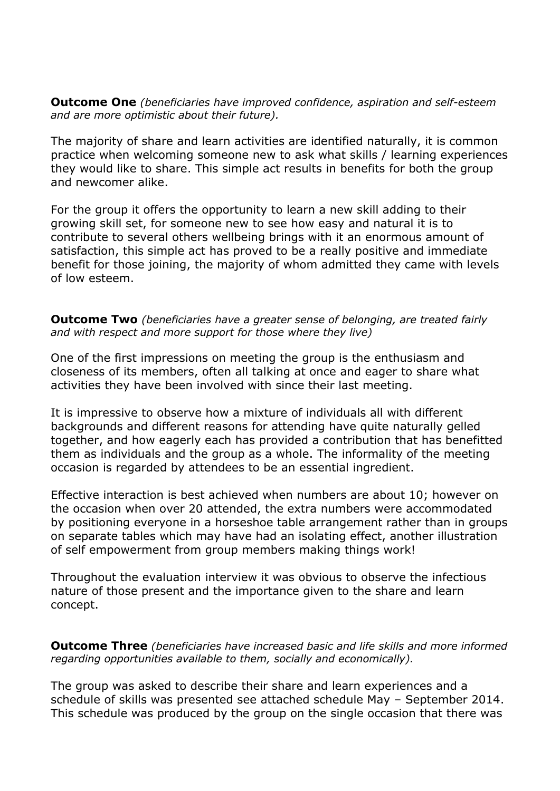**Outcome One** *(beneficiaries have improved confidence, aspiration and self-esteem and are more optimistic about their future).*

The majority of share and learn activities are identified naturally, it is common practice when welcoming someone new to ask what skills / learning experiences they would like to share. This simple act results in benefits for both the group and newcomer alike.

For the group it offers the opportunity to learn a new skill adding to their growing skill set, for someone new to see how easy and natural it is to contribute to several others wellbeing brings with it an enormous amount of satisfaction, this simple act has proved to be a really positive and immediate benefit for those joining, the majority of whom admitted they came with levels of low esteem.

**Outcome Two** *(beneficiaries have a greater sense of belonging, are treated fairly and with respect and more support for those where they live)*

One of the first impressions on meeting the group is the enthusiasm and closeness of its members, often all talking at once and eager to share what activities they have been involved with since their last meeting.

It is impressive to observe how a mixture of individuals all with different backgrounds and different reasons for attending have quite naturally gelled together, and how eagerly each has provided a contribution that has benefitted them as individuals and the group as a whole. The informality of the meeting occasion is regarded by attendees to be an essential ingredient.

Effective interaction is best achieved when numbers are about 10; however on the occasion when over 20 attended, the extra numbers were accommodated by positioning everyone in a horseshoe table arrangement rather than in groups on separate tables which may have had an isolating effect, another illustration of self empowerment from group members making things work!

Throughout the evaluation interview it was obvious to observe the infectious nature of those present and the importance given to the share and learn concept.

**Outcome Three** *(beneficiaries have increased basic and life skills and more informed regarding opportunities available to them, socially and economically).*

The group was asked to describe their share and learn experiences and a schedule of skills was presented see attached schedule May – September 2014. This schedule was produced by the group on the single occasion that there was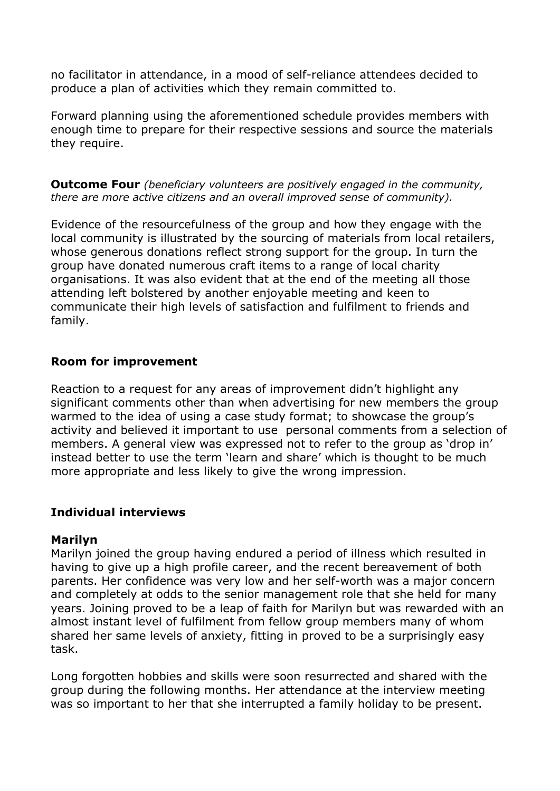no facilitator in attendance, in a mood of self-reliance attendees decided to produce a plan of activities which they remain committed to.

Forward planning using the aforementioned schedule provides members with enough time to prepare for their respective sessions and source the materials they require.

**Outcome Four** *(beneficiary volunteers are positively engaged in the community, there are more active citizens and an overall improved sense of community).*

Evidence of the resourcefulness of the group and how they engage with the local community is illustrated by the sourcing of materials from local retailers, whose generous donations reflect strong support for the group. In turn the group have donated numerous craft items to a range of local charity organisations. It was also evident that at the end of the meeting all those attending left bolstered by another enjoyable meeting and keen to communicate their high levels of satisfaction and fulfilment to friends and family.

## **Room for improvement**

Reaction to a request for any areas of improvement didn't highlight any significant comments other than when advertising for new members the group warmed to the idea of using a case study format; to showcase the group's activity and believed it important to use personal comments from a selection of members. A general view was expressed not to refer to the group as 'drop in' instead better to use the term 'learn and share' which is thought to be much more appropriate and less likely to give the wrong impression.

### **Individual interviews**

### **Marilyn**

Marilyn joined the group having endured a period of illness which resulted in having to give up a high profile career, and the recent bereavement of both parents. Her confidence was very low and her self-worth was a major concern and completely at odds to the senior management role that she held for many years. Joining proved to be a leap of faith for Marilyn but was rewarded with an almost instant level of fulfilment from fellow group members many of whom shared her same levels of anxiety, fitting in proved to be a surprisingly easy task.

Long forgotten hobbies and skills were soon resurrected and shared with the group during the following months. Her attendance at the interview meeting was so important to her that she interrupted a family holiday to be present.